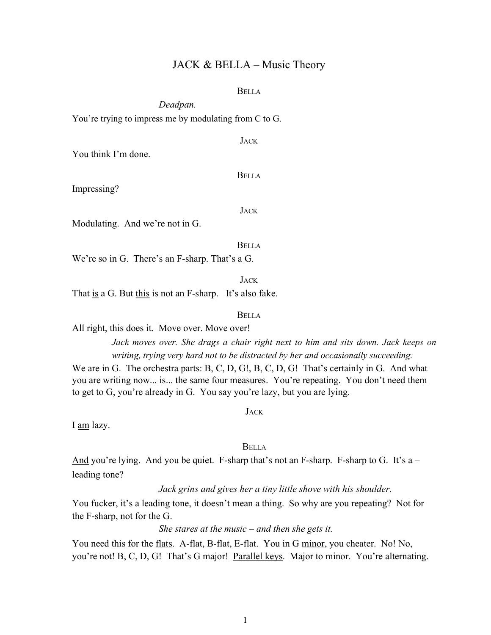## JACK & BELLA – Music Theory

#### **BELLA**

Deadpan.

You're trying to impress me by modulating from C to G.

**JACK** 

You think I'm done.

BELLA

Impressing?

**JACK** 

Modulating. And we're not in G.

BELLA

We're so in G. There's an F-sharp. That's a G.

JACK

That is a G. But this is not an F-sharp. It's also fake.

**BELLA** 

All right, this does it. Move over. Move over!

Jack moves over. She drags a chair right next to him and sits down. Jack keeps on writing, trying very hard not to be distracted by her and occasionally succeeding.

We are in G. The orchestra parts: B, C, D, G!, B, C, D, G! That's certainly in G. And what you are writing now... is... the same four measures. You're repeating. You don't need them to get to G, you're already in G. You say you're lazy, but you are lying.

JACK

I am lazy.

BELLA

And you're lying. And you be quiet. F-sharp that's not an F-sharp. F-sharp to G. It's a – leading tone?

Jack grins and gives her a tiny little shove with his shoulder.

You fucker, it's a leading tone, it doesn't mean a thing. So why are you repeating? Not for the F-sharp, not for the G.

She stares at the music  $-$  and then she gets it.

You need this for the flats. A-flat, B-flat, E-flat. You in G minor, you cheater. No! No, you're not! B, C, D, G! That's G major! Parallel keys. Major to minor. You're alternating.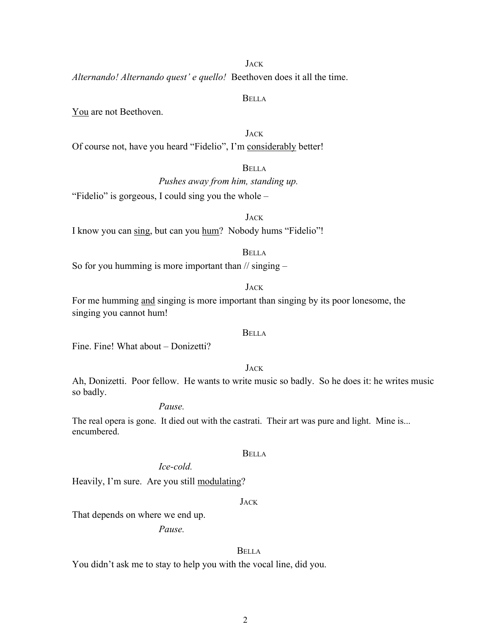JACK

Alternando! Alternando quest' e quello! Beethoven does it all the time.

BELLA

You are not Beethoven.

**JACK** 

Of course not, have you heard "Fidelio", I'm considerably better!

BELLA

Pushes away from him, standing up.

"Fidelio" is gorgeous, I could sing you the whole –

I know you can sing, but can you hum? Nobody hums "Fidelio"!

### BELLA

JACK

So for you humming is more important than  $\frac{1}{3}$  singing –

#### **JACK**

For me humming and singing is more important than singing by its poor lonesome, the singing you cannot hum!

### **BELLA**

Fine. Fine! What about – Donizetti?

**JACK** 

Ah, Donizetti. Poor fellow. He wants to write music so badly. So he does it: he writes music so badly.

Pause.

The real opera is gone. It died out with the castrati. Their art was pure and light. Mine is... encumbered.

#### BELLA

## Ice-cold.

Heavily, I'm sure. Are you still modulating?

#### **JACK**

That depends on where we end up.

Pause.

## **BELLA**

You didn't ask me to stay to help you with the vocal line, did you.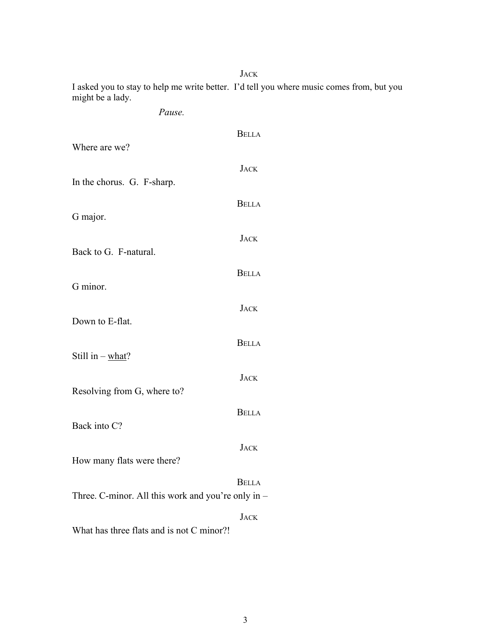I asked you to stay to help me write better. I'd tell you where music comes from, but you might be a lady.

JACK

Pause.

| Where are we?                                        | <b>BELLA</b> |
|------------------------------------------------------|--------------|
| In the chorus. G. F-sharp.                           | <b>JACK</b>  |
|                                                      | <b>BELLA</b> |
| G major.                                             | <b>JACK</b>  |
| Back to G. F-natural.                                |              |
| G minor.                                             | <b>BELLA</b> |
| Down to E-flat.                                      | <b>JACK</b>  |
| Still in $-\underline{\text{what}}$ ?                | <b>BELLA</b> |
| Resolving from G, where to?                          | <b>JACK</b>  |
| Back into C?                                         | <b>BELLA</b> |
| How many flats were there?                           | <b>JACK</b>  |
| Three. C-minor. All this work and you're only in $-$ | <b>BELLA</b> |
| What has three flats and is not C minor?!            | <b>JACK</b>  |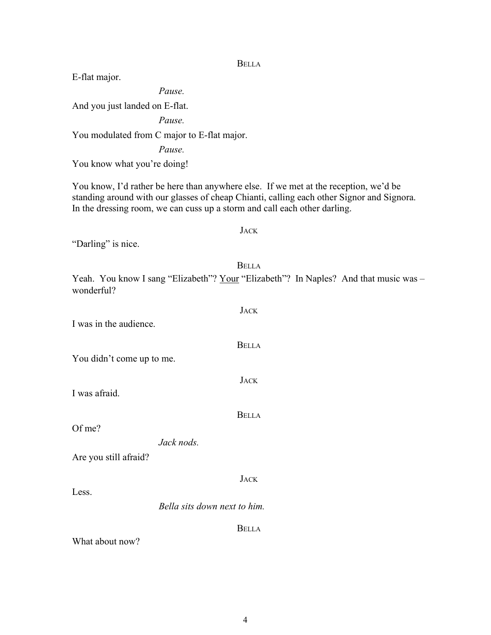#### **BELLA**

E-flat major.

Pause.

And you just landed on E-flat.

Pause.

You modulated from C major to E-flat major.

Pause.

You know what you're doing!

You know, I'd rather be here than anywhere else. If we met at the reception, we'd be standing around with our glasses of cheap Chianti, calling each other Signor and Signora. In the dressing room, we can cuss up a storm and call each other darling.

#### JACK

"Darling" is nice.

BELLA

Yeah. You know I sang "Elizabeth"? Your "Elizabeth"? In Naples? And that music was wonderful?

JACK I was in the audience. BELLA You didn't come up to me. JACK I was afraid. BELLA Of me? Jack nods. Are you still afraid? **JACK** Less. Bella sits down next to him. BELLA What about now?